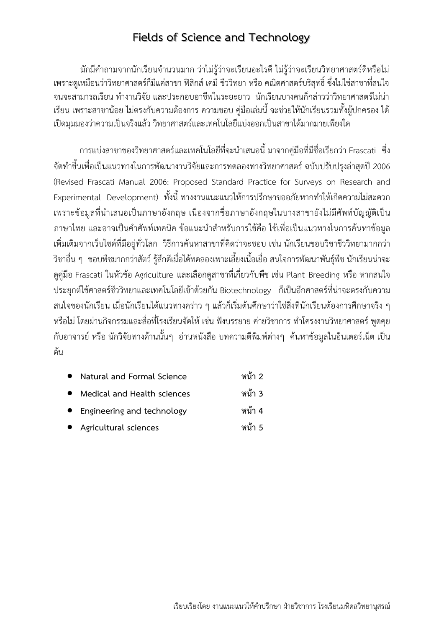มักมีคําถามจากนักเรียนจํานวนมาก ว่าไม่รู้ว่าจะเรียนอะไรดีไม่รู้ว่าจะเรียนวิทยาศาสตร์ดีหรือไม่ เพราะดูเหมือนว่าวิทยาศาสตร์ก็มีแค่สาขา ฟิสิกส์เคมีชีววิทยา หรือ คณิตศาสตร์บริสุทธิ์ซึ่งไม่ใช่สาขาที่สนใจ จนจะสามารถเรียน ทํางานวิจัย และประกอบอาชีพในระยะยาว นักเรียนบางคนก็กล่าวว่าวิทยาศาสตร์ไม่น่า เรียน เพราะสาขาน้อย ไม่ตรงกับความต้องการ ความชอบ คู่มือเล่มนี้จะช่วยให้นักเรียนรวมทั้งผู้ปกครอง ได้ เปิดมุมมองว่าความเป็นจริงแล้ว วิทยาศาสตร์และเทคโนโลยีแบ่งออกเป็นสาขาได้มากมายเพียงใด

 การแบ่งสาขาของวิทยาศาสตร์และเทคโนโลยีที่จะนําเสนอนี้มาจากคู่มือที่มีชื่อเรียกว่า Frascati ซึ่ง จัดทําขึ้นเพื่อเป็นแนวทางในการพัฒนางานวิจัยและการทดลองทางวิทยาศาสตร์ฉบับปรับปรุงล่าสุดปี 2006 (Revised Frascati Manual 2006: Proposed Standard Practice for Surveys on Research and Experimental Development) ทั้งนี้ ทางงานแนะแนวให้การปรึกษาขออภัยหากทำให้เกิดความไม่สะดวก เพราะข้อมูลที่นําเสนอเป็นภาษาอังกฤษ เนื่องจากชื่อภาษาอังกฤษในบางสาขายังไม่มีศัพท์บัญญัติเป็น ภาษาไทย และอาจเป็นคําศัพท์เทคนิค ข้อแนะนําสําหรับการใช้คือ ใช้เพื่อเป็นแนวทางในการค้นหาข้อมูล เพิ่มเติมจากเว็บไซด์ที่มีอยู่ทั่วโลก วิธีการค้นหาสาขาที่คิดว่าจะชอบ เช่น นักเรียนชอบวิชาชีววิทยามากกว่า วิชาอื่น ๆ ชอบพืชมากกว่าสัตว์รู้สึกดีเมื่อได้ทดลองเพาะเลี้ยงเนื้อเยื่อ สนใจการพัฒนาพันธุ์พืช นักเรียนน่าจะ ดูคู่มือ Frascati ในหัวข้อ Agriculture และเลือกดูสาขาที่เกี่ยวกับพืช เช่น Plant Breeding หรือ หากสนใจ ประยุกต์ใช้ศาสตร์ชีววิทยาและเทคโนโลยีเข้าด้วยกัน Biotechnology ก็เป็นอีกศาสตร์ที่น่าจะตรงกับความ สนใจของนักเรียน เมื่อนักเรียนได้แนวทางคร่าว ๆ แล้วก็เริ่มต้นศึกษาว่าใช่สิ่งที่นักเรียนต้องการศึกษาจริง ๆ หรือไม่ โดยผ่านกิจกรรมและสื่อที่โรงเรียนจัดให้ เช่น ฟังบรรยาย ค่ายวิชาการ ทำโครงงานวิทยาศาสตร์ พูดคุย กับอาจารย์หรือ นักวิจัยทางด้านนั้นๆ อ่านหนังสือ บทความตีพิมพ์ต่างๆ ค้นหาข้อมูลในอินเตอร์เน็ต เป็น ต้น

- **Natural and Formal Science หน้า 2**
- **Medical and Health sciences หน้า 3**
- **Engineering and technology หน้า 4**
- **Agricultural sciences หน้า 5**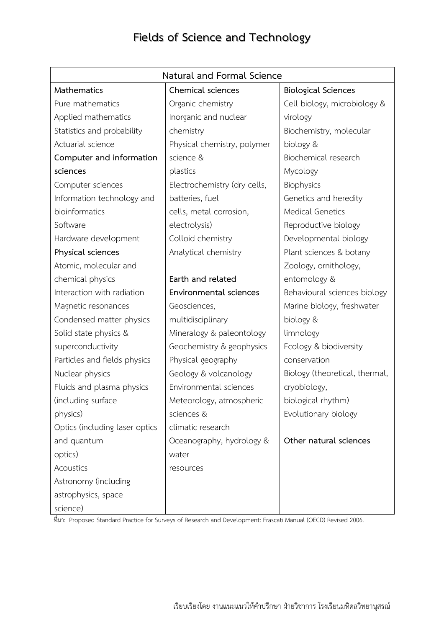| Natural and Formal Science     |                              |                                |  |
|--------------------------------|------------------------------|--------------------------------|--|
| Mathematics                    | Chemical sciences            | <b>Biological Sciences</b>     |  |
| Pure mathematics               | Organic chemistry            | Cell biology, microbiology &   |  |
| Applied mathematics            | Inorganic and nuclear        | virology                       |  |
| Statistics and probability     | chemistry                    | Biochemistry, molecular        |  |
| Actuarial science              | Physical chemistry, polymer  | biology &                      |  |
| Computer and information       | science &                    | Biochemical research           |  |
| sciences                       | plastics                     | Mycology                       |  |
| Computer sciences              | Electrochemistry (dry cells, | Biophysics                     |  |
| Information technology and     | batteries, fuel              | Genetics and heredity          |  |
| bioinformatics                 | cells, metal corrosion,      | <b>Medical Genetics</b>        |  |
| Software                       | electrolysis)                | Reproductive biology           |  |
| Hardware development           | Colloid chemistry            | Developmental biology          |  |
| Physical sciences              | Analytical chemistry         | Plant sciences & botany        |  |
| Atomic, molecular and          |                              | Zoology, ornithology,          |  |
| chemical physics               | Earth and related            | entomology &                   |  |
| Interaction with radiation     | Environmental sciences       | Behavioural sciences biology   |  |
| Magnetic resonances            | Geosciences,                 | Marine biology, freshwater     |  |
| Condensed matter physics       | multidisciplinary            | biology &                      |  |
| Solid state physics &          | Mineralogy & paleontology    | limnology                      |  |
| superconductivity              | Geochemistry & geophysics    | Ecology & biodiversity         |  |
| Particles and fields physics   | Physical geography           | conservation                   |  |
| Nuclear physics                | Geology & volcanology        | Biology (theoretical, thermal, |  |
| Fluids and plasma physics      | Environmental sciences       | cryobiology,                   |  |
| (including surface             | Meteorology, atmospheric     | biological rhythm)             |  |
| physics)                       | sciences &                   | Evolutionary biology           |  |
| Optics (including laser optics | climatic research            |                                |  |
| and quantum                    | Oceanography, hydrology &    | Other natural sciences         |  |
| optics)                        | water                        |                                |  |
| Acoustics                      | resources                    |                                |  |
| Astronomy (including           |                              |                                |  |
| astrophysics, space            |                              |                                |  |
| science)                       |                              |                                |  |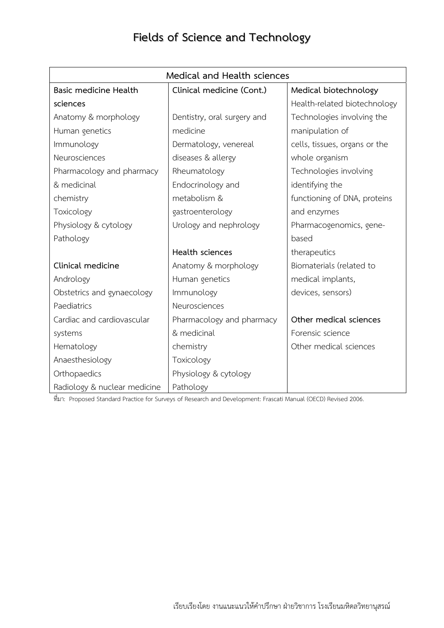| Medical and Health sciences  |                             |                               |  |
|------------------------------|-----------------------------|-------------------------------|--|
| <b>Basic medicine Health</b> | Clinical medicine (Cont.)   | Medical biotechnology         |  |
| sciences                     |                             | Health-related biotechnology  |  |
| Anatomy & morphology         | Dentistry, oral surgery and | Technologies involving the    |  |
| Human genetics               | medicine                    | manipulation of               |  |
| Immunology                   | Dermatology, venereal       | cells, tissues, organs or the |  |
| Neurosciences                | diseases & allergy          | whole organism                |  |
| Pharmacology and pharmacy    | Rheumatology                | Technologies involving        |  |
| & medicinal                  | Endocrinology and           | identifying the               |  |
| chemistry                    | metabolism &                | functioning of DNA, proteins  |  |
| Toxicology                   | gastroenterology            | and enzymes                   |  |
| Physiology & cytology        | Urology and nephrology      | Pharmacogenomics, gene-       |  |
| Pathology                    |                             | based                         |  |
|                              | Health sciences             | therapeutics                  |  |
| Clinical medicine            | Anatomy & morphology        | Biomaterials (related to      |  |
| Andrology                    | Human genetics              | medical implants,             |  |
| Obstetrics and gynaecology   | Immunology                  | devices, sensors)             |  |
| Paediatrics                  | Neurosciences               |                               |  |
| Cardiac and cardiovascular   | Pharmacology and pharmacy   | Other medical sciences        |  |
| systems                      | & medicinal                 | Forensic science              |  |
| Hematology                   | chemistry                   | Other medical sciences        |  |
| Anaesthesiology              | Toxicology                  |                               |  |
| Orthopaedics                 | Physiology & cytology       |                               |  |
| Radiology & nuclear medicine | Pathology                   |                               |  |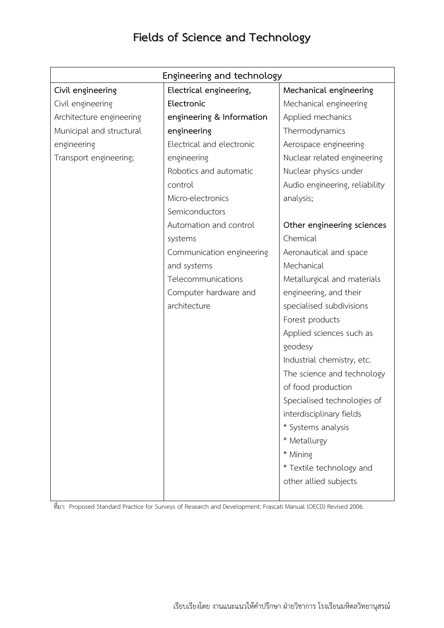| Engineering and technology |                           |                                |  |  |
|----------------------------|---------------------------|--------------------------------|--|--|
| Civil engineering          | Electrical engineering,   | Mechanical engineering         |  |  |
| Civil engineering          | Electronic                | Mechanical engineering         |  |  |
| Architecture engineering   | engineering & Information | Applied mechanics              |  |  |
| Municipal and structural   | engineering               | Thermodynamics                 |  |  |
| engineering                | Electrical and electronic | Aerospace engineering          |  |  |
| Transport engineering;     | engineering               | Nuclear related engineering    |  |  |
|                            | Robotics and automatic    | Nuclear physics under          |  |  |
|                            | control                   | Audio engineering, reliability |  |  |
|                            | Micro-electronics         | analysis;                      |  |  |
|                            | Semiconductors            |                                |  |  |
|                            | Automation and control    | Other engineering sciences     |  |  |
|                            | systems                   | Chemical                       |  |  |
|                            | Communication engineering | Aeronautical and space         |  |  |
|                            | and systems               | Mechanical                     |  |  |
|                            | Telecommunications        | Metallurgical and materials    |  |  |
|                            | Computer hardware and     | engineering, and their         |  |  |
|                            | architecture              | specialised subdivisions       |  |  |
|                            |                           | Forest products                |  |  |
|                            |                           | Applied sciences such as       |  |  |
|                            |                           | geodesy                        |  |  |
|                            |                           | Industrial chemistry, etc.     |  |  |
|                            |                           | The science and technology     |  |  |
|                            |                           | of food production             |  |  |
|                            |                           | Specialised technologies of    |  |  |
|                            |                           | interdisciplinary fields       |  |  |
|                            |                           | * Systems analysis             |  |  |
|                            |                           | * Metallurgy                   |  |  |
|                            |                           | * Mining                       |  |  |
|                            |                           | * Textile technology and       |  |  |
|                            |                           | other allied subjects          |  |  |
|                            |                           |                                |  |  |